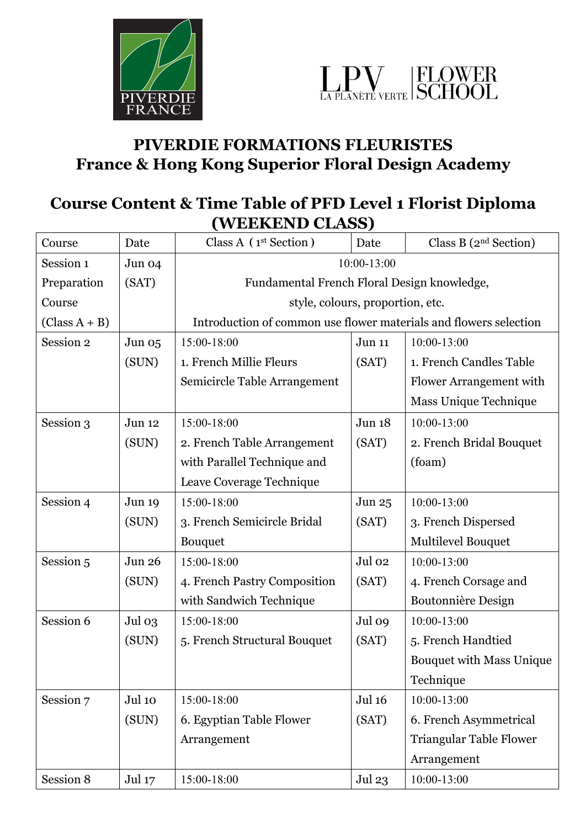



## **PIVERDIE FORMATIONS FLEURISTES France & Hong Kong Superior Floral Design Academy**

## **Course Content & Time Table of PFD Level 1 Florist Diploma (WEEKEND CLASS)**

| Course                 | Date   | Class A $(1st Section)$                                           | Date          | Class B $(2nd Section)$         |  |  |
|------------------------|--------|-------------------------------------------------------------------|---------------|---------------------------------|--|--|
| Session 1              | Jun 04 | 10:00-13:00                                                       |               |                                 |  |  |
| Preparation            | (SAT)  | Fundamental French Floral Design knowledge,                       |               |                                 |  |  |
| Course                 |        | style, colours, proportion, etc.                                  |               |                                 |  |  |
| $\text{(Class A + B)}$ |        | Introduction of common use flower materials and flowers selection |               |                                 |  |  |
| Session 2              | Jun 05 | 15:00-18:00                                                       | Jun 11        | 10:00-13:00                     |  |  |
|                        | (SUN)  | 1. French Millie Fleurs                                           | (SAT)         | 1. French Candles Table         |  |  |
|                        |        | Semicircle Table Arrangement                                      |               | Flower Arrangement with         |  |  |
|                        |        |                                                                   |               | Mass Unique Technique           |  |  |
| Session 3              | Jun 12 | 15:00-18:00                                                       | Jun 18        | 10:00-13:00                     |  |  |
|                        | (SUN)  | 2. French Table Arrangement                                       | (SAT)         | 2. French Bridal Bouquet        |  |  |
|                        |        | with Parallel Technique and                                       |               | (foam)                          |  |  |
|                        |        | Leave Coverage Technique                                          |               |                                 |  |  |
| Session 4              | Jun 19 | 15:00-18:00                                                       | Jun 25        | 10:00-13:00                     |  |  |
|                        | (SUN)  | 3. French Semicircle Bridal                                       | (SAT)         | 3. French Dispersed             |  |  |
|                        |        | <b>Bouquet</b>                                                    |               | Multilevel Bouquet              |  |  |
| Session 5              | Jun 26 | 15:00-18:00                                                       | Jul 02        | 10:00-13:00                     |  |  |
|                        | (SUN)  | 4. French Pastry Composition                                      | (SAT)         | 4. French Corsage and           |  |  |
|                        |        | with Sandwich Technique                                           |               | <b>Boutonnière Design</b>       |  |  |
| Session 6              | Jul 03 | 15:00-18:00                                                       | Jul 09        | 10:00-13:00                     |  |  |
|                        | (SUN)  | 5. French Structural Bouquet                                      | (SAT)         | 5. French Handtied              |  |  |
|                        |        |                                                                   |               | <b>Bouquet with Mass Unique</b> |  |  |
|                        |        |                                                                   |               | Technique                       |  |  |
| Session 7              | Jul 10 | 15:00-18:00                                                       | <b>Jul 16</b> | 10:00-13:00                     |  |  |
|                        | (SUN)  | 6. Egyptian Table Flower                                          | (SAT)         | 6. French Asymmetrical          |  |  |
|                        |        | Arrangement                                                       |               | <b>Triangular Table Flower</b>  |  |  |
|                        |        |                                                                   |               | Arrangement                     |  |  |
| Session 8              | Jul 17 | 15:00-18:00                                                       | Jul 23        | 10:00-13:00                     |  |  |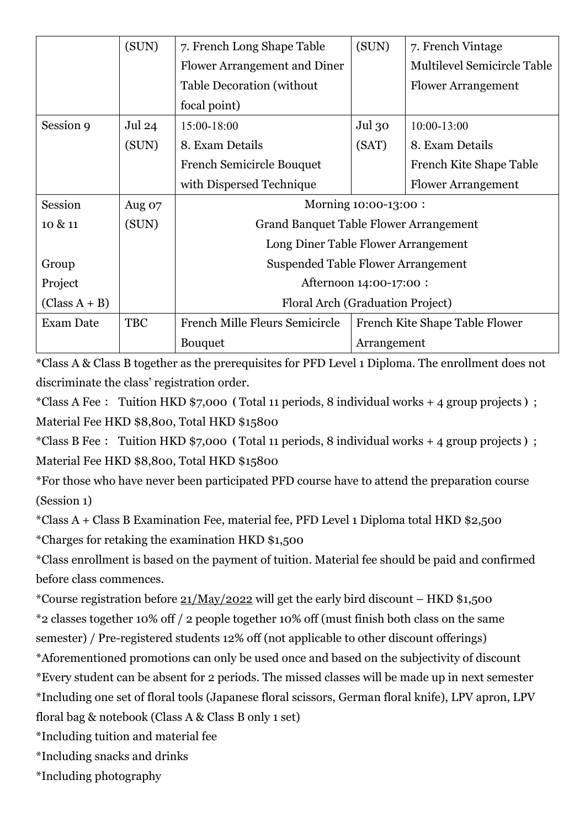|                        | (SUN)             | 7. French Long Shape Table                    | (SUN)       | 7. French Vintage                  |  |
|------------------------|-------------------|-----------------------------------------------|-------------|------------------------------------|--|
|                        |                   | Flower Arrangement and Diner                  |             | <b>Multilevel Semicircle Table</b> |  |
|                        |                   | <b>Table Decoration (without)</b>             |             | <b>Flower Arrangement</b>          |  |
|                        |                   | focal point)                                  |             |                                    |  |
| Session 9              | Jul <sub>24</sub> | 15:00-18:00                                   | Jul 30      | 10:00-13:00                        |  |
|                        | (SUN)             | 8. Exam Details                               | (SAT)       | 8. Exam Details                    |  |
|                        |                   | <b>French Semicircle Bouquet</b>              |             | French Kite Shape Table            |  |
|                        |                   | with Dispersed Technique                      |             | <b>Flower Arrangement</b>          |  |
| Session                | Aug 07            | Morning 10:00-13:00 :                         |             |                                    |  |
| 10 & 11                | (SUN)             | <b>Grand Banquet Table Flower Arrangement</b> |             |                                    |  |
|                        |                   | Long Diner Table Flower Arrangement           |             |                                    |  |
| Group                  |                   | Suspended Table Flower Arrangement            |             |                                    |  |
| Project                |                   | Afternoon 14:00-17:00 :                       |             |                                    |  |
| $\text{(Class A + B)}$ |                   | Floral Arch (Graduation Project)              |             |                                    |  |
| <b>Exam Date</b>       | <b>TBC</b>        | <b>French Mille Fleurs Semicircle</b>         |             | French Kite Shape Table Flower     |  |
|                        |                   | <b>Bouquet</b>                                | Arrangement |                                    |  |

\*Class A & Class B together as the prerequisites for PFD Level 1 Diploma. The enrollment does not discriminate the class' registration order.

\*Class A Fee: Tuition HKD \$7,000(Total 11 periods, 8 individual works + 4 group projects); Material Fee HKD \$8,800, Total HKD \$15800

\*Class B Fee: Tuition HKD \$7,000(Total 11 periods, 8 individual works + 4 group projects); Material Fee HKD \$8,800, Total HKD \$15800

\*For those who have never been participated PFD course have to attend the preparation course (Session 1)

\*Class A + Class B Examination Fee, material fee, PFD Level 1 Diploma total HKD \$2,500

\*Charges for retaking the examination HKD \$1,500

\*Class enrollment is based on the payment of tuition. Material fee should be paid and confirmed before class commences.

\*Course registration before  $21/May/2022$  will get the early bird discount – HKD \$1,500 \*2 classes together 10% off / 2 people together 10% off (must finish both class on the same semester) / Pre-registered students 12% off (not applicable to other discount offerings)

\*Aforementioned promotions can only be used once and based on the subjectivity of discount

\*Every student can be absent for 2 periods. The missed classes will be made up in next semester

\*Including one set of floral tools (Japanese floral scissors, German floral knife), LPV apron, LPV

floral bag & notebook (Class A & Class B only 1 set)

\*Including tuition and material fee

\*Including snacks and drinks

\*Including photography